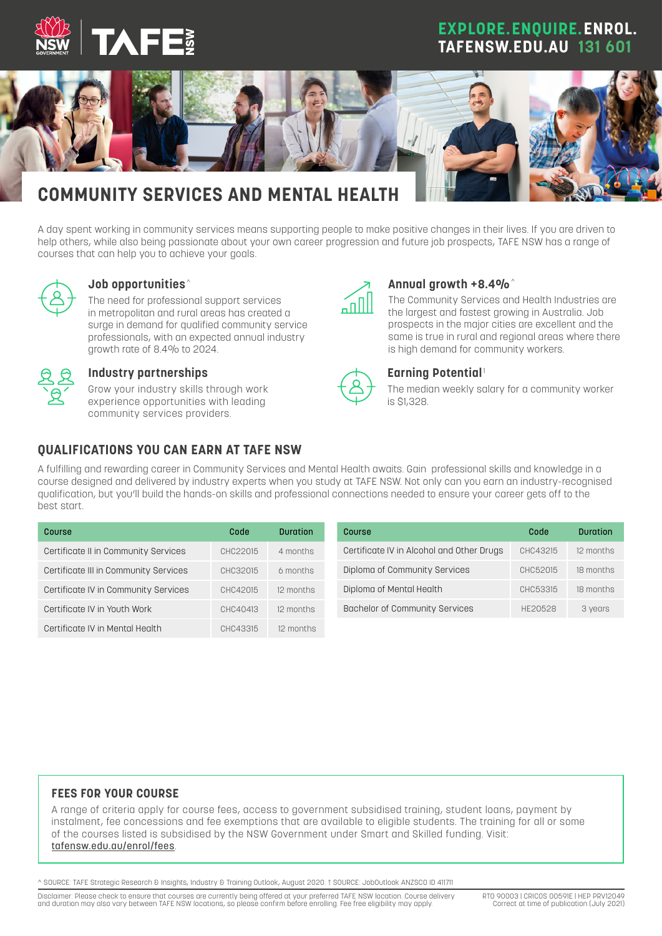

## **EXPLORE.ENQUIRE.ENROL. TAFENSW.EDU.AU 131 601**



A day spent working in community services means supporting people to make positive changes in their lives. If you are driven to help others, while also being passionate about your own career progression and future job prospects, TAFE NSW has a range of courses that can help you to achieve your goals.



#### **Job opportunities** ^

The need for professional support services in metropolitan and rural areas has created a surge in demand for qualified community service professionals, with an expected annual industry growth rate of 8.4% to 2024.



#### **Industry partnerships**

Grow your industry skills through work experience opportunities with leading community services providers.



#### **Annual growth +8.4%**^

The Community Services and Health Industries are the largest and fastest growing in Australia. Job prospects in the major cities are excellent and the same is true in rural and regional areas where there is high demand for community workers.



#### **Earning Potential**<sup>1</sup>

The median weekly salary for a community worker is \$1,328.

#### **QUALIFICATIONS YOU CAN EARN AT TAFE NSW**

A fulfilling and rewarding career in Community Services and Mental Health awaits. Gain professional skills and knowledge in a course designed and delivered by industry experts when you study at TAFE NSW. Not only can you earn an industry-recognised qualification, but you'll build the hands-on skills and professional connections needed to ensure your career gets off to the best start.

| Course                                | Code     | <b>Duration</b> | <b>Course</b>                             | Code     |
|---------------------------------------|----------|-----------------|-------------------------------------------|----------|
| Certificate II in Community Services  | CHC22015 | 4 months        | Certificate IV in Alcohol and Other Drugs | CHC43215 |
| Certificate III in Community Services | CHC32015 | 6 months        | Diploma of Community Services             | CHC52015 |
| Certificate IV in Community Services  | CHC42015 | 12 months       | Diploma of Mental Health                  | CHC53315 |
| Certificate IV in Youth Work          | CHC40413 | 12 months       | Bachelor of Community Services            | HE20528  |
| Certificate IV in Mental Health       | CHC43315 | 12 months       |                                           |          |

#### **FEES FOR YOUR COURSE**

A range of criteria apply for course fees, access to government subsidised training, student loans, payment by instalment, fee concessions and fee exemptions that are available to eligible students. The training for all or some of the courses listed is subsidised by the NSW Government under Smart and Skilled funding. Visit: [tafensw.edu.au/enrol/fees](http://tafensw.edu.au/enrol/fees).

^ SOURCE: TAFE Strategic Research & Insights, Industry & Training Outlook, August 2020. † SOURCE: JobOutlook ANZSCO ID 411711

Disclaimer: Please check to ensure that courses are currently being offered at your preferred TAFE NSW location. Course delivery and duration may also vary between TAFE NSW locations, so please confirm before enrolling. Fee free eligibility may apply.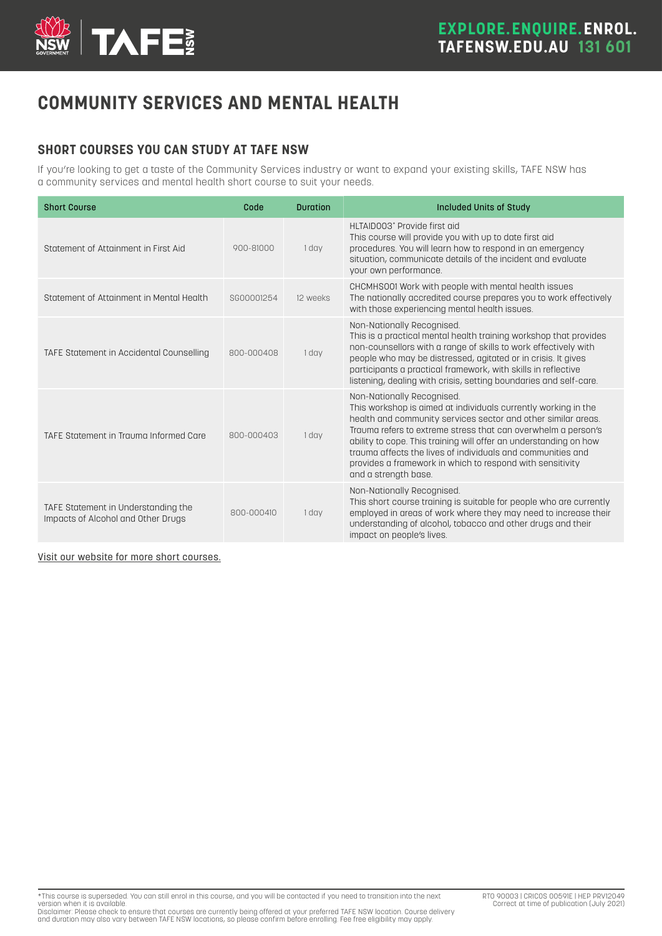

# **COMMUNITY SERVICES AND MENTAL HEALTH**

### **SHORT COURSES YOU CAN STUDY AT TAFE NSW**

If you're looking to get a taste of the Community Services industry or want to expand your existing skills, TAFE NSW has a community services and mental health short course to suit your needs.

| <b>Short Course</b>                                                       | Code       | <b>Duration</b> | Included Units of Study                                                                                                                                                                                                                                                                                                                                                                                                                                 |
|---------------------------------------------------------------------------|------------|-----------------|---------------------------------------------------------------------------------------------------------------------------------------------------------------------------------------------------------------------------------------------------------------------------------------------------------------------------------------------------------------------------------------------------------------------------------------------------------|
| Statement of Attainment in First Aid                                      | 900-81000  | 1 day           | HLTAID003* Provide first gid<br>This course will provide you with up to date first aid<br>procedures. You will learn how to respond in an emergency<br>situation, communicate details of the incident and evaluate<br>your own performance.                                                                                                                                                                                                             |
| Statement of Attainment in Mental Health                                  | SG00001254 | 12 weeks        | CHCMHSOO1 Work with people with mental health issues<br>The nationally accredited course prepares you to work effectively<br>with those experiencing mental health issues.                                                                                                                                                                                                                                                                              |
| TAFE Statement in Accidental Counselling                                  | 800-000408 | 1 day           | Non-Nationally Recognised.<br>This is a practical mental health training workshop that provides<br>non-counsellors with a range of skills to work effectively with<br>people who may be distressed, agitated or in crisis. It gives<br>participants a practical framework, with skills in reflective<br>listening, dealing with crisis, setting boundaries and self-care.                                                                               |
| TAFE Statement in Trauma Informed Care                                    | 800-000403 | 1 day           | Non-Nationally Recognised.<br>This workshop is aimed at individuals currently working in the<br>health and community services sector and other similar areas.<br>Trauma refers to extreme stress that can overwhelm a person's<br>ability to cope. This training will offer an understanding on how<br>trauma affects the lives of individuals and communities and<br>provides a framework in which to respond with sensitivity<br>and a strength base. |
| TAFE Statement in Understanding the<br>Impacts of Alcohol and Other Drugs | 800-000410 | 1 day           | Non-Nationally Recognised.<br>This short course training is suitable for people who are currently<br>employed in areas of work where they may need to increase their<br>understanding of alcohol, tobacco and other drugs and their<br>impact on people's lives.                                                                                                                                                                                        |

Visit [our website for more short courses.](http://tafensw.edu.au/short-courses)

\*This course is superseded. You can still enrol in this course, and you will be contacted if you need to transition into the next

version when it is available.<br>Disclaimer: Please check to ensure that courses are currently being offered at your preferred TAFE NSW location. Course delivery<br>and duration may also vary between TAFE NSW locations, so pleas